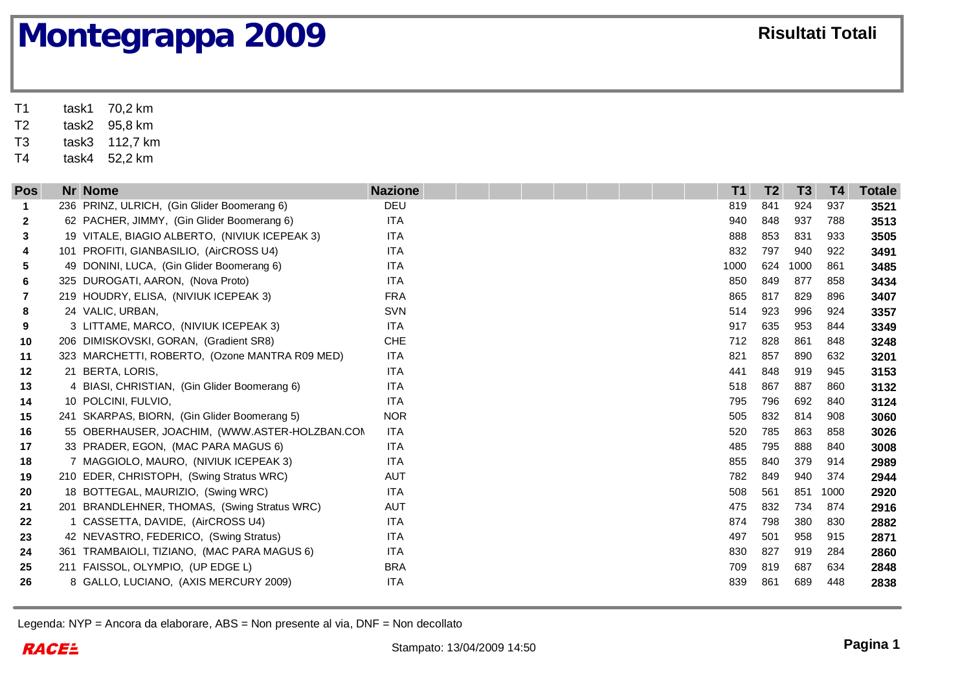T1 task1 70,2 km T2task2 95,8 km

T3task3 112,7 km

T4task4 52,2 km

| <b>Pos</b> | Nr Nome                                        | <b>Nazione</b> | T <sub>1</sub> | T <sub>2</sub> | T <sub>3</sub> | <b>T4</b> | <b>Totale</b> |
|------------|------------------------------------------------|----------------|----------------|----------------|----------------|-----------|---------------|
| 1          | 236 PRINZ, ULRICH, (Gin Glider Boomerang 6)    | <b>DEU</b>     | 819            | 841            | 924            | 937       | 3521          |
| 2          | 62 PACHER, JIMMY, (Gin Glider Boomerang 6)     | <b>ITA</b>     | 940            | 848            | 937            | 788       | 3513          |
| 3          | 19 VITALE, BIAGIO ALBERTO, (NIVIUK ICEPEAK 3)  | <b>ITA</b>     | 888            | 853            | 831            | 933       | 3505          |
| 4          | 101 PROFITI, GIANBASILIO, (AirCROSS U4)        | <b>ITA</b>     | 832            | 797            | 940            | 922       | 3491          |
| 5          | 49 DONINI, LUCA, (Gin Glider Boomerang 6)      | <b>ITA</b>     | 1000           | 624            | 1000           | 861       | 3485          |
| 6          | 325 DUROGATI, AARON, (Nova Proto)              | <b>ITA</b>     | 850            | 849            | 877            | 858       | 3434          |
| 7          | 219 HOUDRY, ELISA, (NIVIUK ICEPEAK 3)          | <b>FRA</b>     | 865            | 817            | 829            | 896       | 3407          |
| 8          | 24 VALIC, URBAN,                               | <b>SVN</b>     | 514            | 923            | 996            | 924       | 3357          |
| 9          | 3 LITTAME, MARCO, (NIVIUK ICEPEAK 3)           | <b>ITA</b>     | 917            | 635            | 953            | 844       | 3349          |
| 10         | 206 DIMISKOVSKI, GORAN, (Gradient SR8)         | <b>CHE</b>     | 712            | 828            | 861            | 848       | 3248          |
| 11         | 323 MARCHETTI, ROBERTO, (Ozone MANTRA R09 MED) | <b>ITA</b>     | 821            | 857            | 890            | 632       | 3201          |
| $12 \,$    | 21 BERTA, LORIS,                               | <b>ITA</b>     | 441            | 848            | 919            | 945       | 3153          |
| 13         | 4 BIASI, CHRISTIAN, (Gin Glider Boomerang 6)   | <b>ITA</b>     | 518            | 867            | 887            | 860       | 3132          |
| 14         | 10 POLCINI, FULVIO,                            | <b>ITA</b>     | 795            | 796            | 692            | 840       | 3124          |
| 15         | 241 SKARPAS, BIORN, (Gin Glider Boomerang 5)   | <b>NOR</b>     | 505            | 832            | 814            | 908       | 3060          |
| 16         | 55 OBERHAUSER, JOACHIM, (WWW.ASTER-HOLZBAN.COM | ITA            | 520            | 785            | 863            | 858       | 3026          |
| 17         | 33 PRADER, EGON, (MAC PARA MAGUS 6)            | <b>ITA</b>     | 485            | 795            | 888            | 840       | 3008          |
| 18         | 7 MAGGIOLO, MAURO, (NIVIUK ICEPEAK 3)          | <b>ITA</b>     | 855            | 840            | 379            | 914       | 2989          |
| 19         | 210 EDER, CHRISTOPH, (Swing Stratus WRC)       | <b>AUT</b>     | 782            | 849            | 940            | 374       | 2944          |
| 20         | 18 BOTTEGAL, MAURIZIO, (Swing WRC)             | <b>ITA</b>     | 508            | 561            | 851            | 1000      | 2920          |
| 21         | 201 BRANDLEHNER, THOMAS, (Swing Stratus WRC)   | <b>AUT</b>     | 475            | 832            | 734            | 874       | 2916          |
| 22         | 1 CASSETTA, DAVIDE, (AirCROSS U4)              | <b>ITA</b>     | 874            | 798            | 380            | 830       | 2882          |
| 23         | 42 NEVASTRO, FEDERICO, (Swing Stratus)         | <b>ITA</b>     | 497            | 501            | 958            | 915       | 2871          |
| 24         | 361 TRAMBAIOLI, TIZIANO, (MAC PARA MAGUS 6)    | <b>ITA</b>     | 830            | 827            | 919            | 284       | 2860          |
| 25         | 211 FAISSOL, OLYMPIO, (UP EDGE L)              | <b>BRA</b>     | 709            | 819            | 687            | 634       | 2848          |
| 26         | 8 GALLO, LUCIANO, (AXIS MERCURY 2009)          | <b>ITA</b>     | 839            | 861            | 689            | 448       | 2838          |
|            |                                                |                |                |                |                |           |               |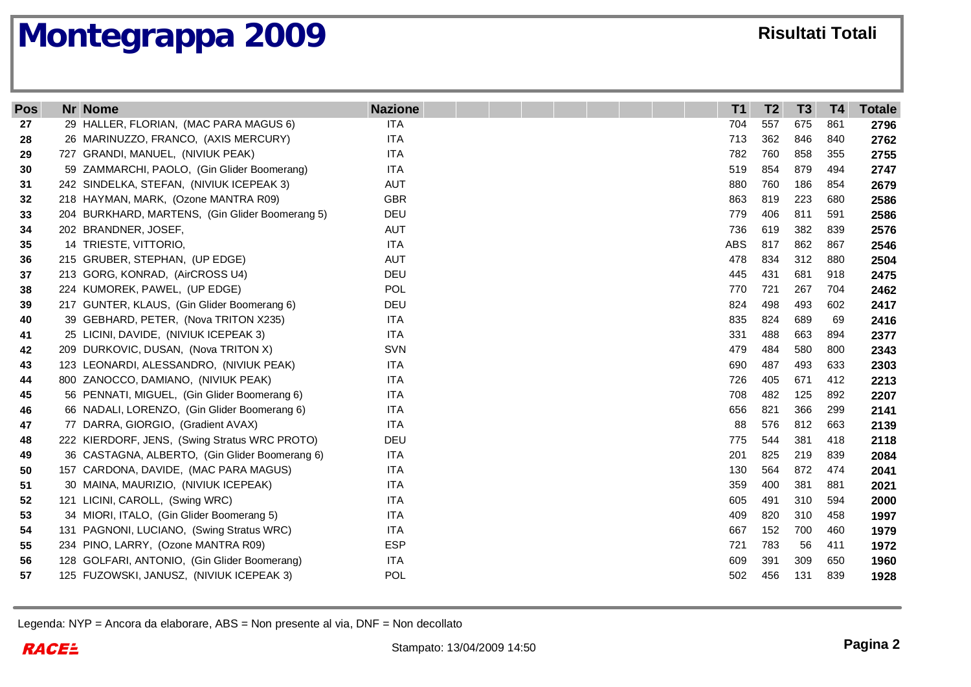| <b>Pos</b> | <b>Nr Nome</b>                                  | <b>Nazione</b> | T <sub>1</sub> | T <sub>2</sub> | T <sub>3</sub> | <b>T4</b> | <b>Totale</b> |
|------------|-------------------------------------------------|----------------|----------------|----------------|----------------|-----------|---------------|
| 27         | 29 HALLER, FLORIAN, (MAC PARA MAGUS 6)          | <b>ITA</b>     | 704            | 557            | 675            | 861       | 2796          |
| 28         | 26 MARINUZZO, FRANCO, (AXIS MERCURY)            | <b>ITA</b>     | 713            | 362            | 846            | 840       | 2762          |
| 29         | 727 GRANDI, MANUEL, (NIVIUK PEAK)               | <b>ITA</b>     | 782            | 760            | 858            | 355       | 2755          |
| 30         | 59 ZAMMARCHI, PAOLO, (Gin Glider Boomerang)     | <b>ITA</b>     | 519            | 854            | 879            | 494       | 2747          |
| 31         | 242 SINDELKA, STEFAN, (NIVIUK ICEPEAK 3)        | <b>AUT</b>     | 880            | 760            | 186            | 854       | 2679          |
| 32         | 218 HAYMAN, MARK, (Ozone MANTRA R09)            | <b>GBR</b>     | 863            | 819            | 223            | 680       | 2586          |
| 33         | 204 BURKHARD, MARTENS, (Gin Glider Boomerang 5) | DEU            | 779            | 406            | 811            | 591       | 2586          |
| 34         | 202 BRANDNER, JOSEF,                            | <b>AUT</b>     | 736            | 619            | 382            | 839       | 2576          |
| 35         | 14 TRIESTE, VITTORIO,                           | <b>ITA</b>     | <b>ABS</b>     | 817            | 862            | 867       | 2546          |
| 36         | 215 GRUBER, STEPHAN, (UP EDGE)                  | <b>AUT</b>     | 478            | 834            | 312            | 880       | 2504          |
| 37         | 213 GORG, KONRAD, (AirCROSS U4)                 | DEU            | 445            | 431            | 681            | 918       | 2475          |
| 38         | 224 KUMOREK, PAWEL, (UP EDGE)                   | POL            | 770            | 721            | 267            | 704       | 2462          |
| 39         | 217 GUNTER, KLAUS, (Gin Glider Boomerang 6)     | DEU            | 824            | 498            | 493            | 602       | 2417          |
| 40         | 39 GEBHARD, PETER, (Nova TRITON X235)           | <b>ITA</b>     | 835            | 824            | 689            | 69        | 2416          |
| 41         | 25 LICINI, DAVIDE, (NIVIUK ICEPEAK 3)           | <b>ITA</b>     | 331            | 488            | 663            | 894       | 2377          |
| 42         | 209 DURKOVIC, DUSAN, (Nova TRITON X)            | <b>SVN</b>     | 479            | 484            | 580            | 800       | 2343          |
| 43         | 123 LEONARDI, ALESSANDRO, (NIVIUK PEAK)         | <b>ITA</b>     | 690            | 487            | 493            | 633       | 2303          |
| 44         | 800 ZANOCCO, DAMIANO, (NIVIUK PEAK)             | <b>ITA</b>     | 726            | 405            | 671            | 412       | 2213          |
| 45         | 56 PENNATI, MIGUEL, (Gin Glider Boomerang 6)    | <b>ITA</b>     | 708            | 482            | 125            | 892       | 2207          |
| 46         | 66 NADALI, LORENZO, (Gin Glider Boomerang 6)    | <b>ITA</b>     | 656            | 821            | 366            | 299       | 2141          |
| 47         | 77 DARRA, GIORGIO, (Gradient AVAX)              | <b>ITA</b>     | 88             | 576            | 812            | 663       | 2139          |
| 48         | 222 KIERDORF, JENS, (Swing Stratus WRC PROTO)   | DEU            | 775            | 544            | 381            | 418       | 2118          |
| 49         | 36 CASTAGNA, ALBERTO, (Gin Glider Boomerang 6)  | <b>ITA</b>     | 201            | 825            | 219            | 839       | 2084          |
| 50         | 157 CARDONA, DAVIDE, (MAC PARA MAGUS)           | <b>ITA</b>     | 130            | 564            | 872            | 474       | 2041          |
| 51         | 30 MAINA, MAURIZIO, (NIVIUK ICEPEAK)            | <b>ITA</b>     | 359            | 400            | 381            | 881       | 2021          |
| 52         | 121 LICINI, CAROLL, (Swing WRC)                 | <b>ITA</b>     | 605            | 491            | 310            | 594       | 2000          |
| 53         | 34 MIORI, ITALO, (Gin Glider Boomerang 5)       | <b>ITA</b>     | 409            | 820            | 310            | 458       | 1997          |
| 54         | 131 PAGNONI, LUCIANO, (Swing Stratus WRC)       | <b>ITA</b>     | 667            | 152            | 700            | 460       | 1979          |
| 55         | 234 PINO, LARRY, (Ozone MANTRA R09)             | <b>ESP</b>     | 721            | 783            | 56             | 411       | 1972          |
| 56         | 128 GOLFARI, ANTONIO, (Gin Glider Boomerang)    | <b>ITA</b>     | 609            | 391            | 309            | 650       | 1960          |
| 57         | 125 FUZOWSKI, JANUSZ, (NIVIUK ICEPEAK 3)        | <b>POL</b>     | 502            | 456            | 131            | 839       | 1928          |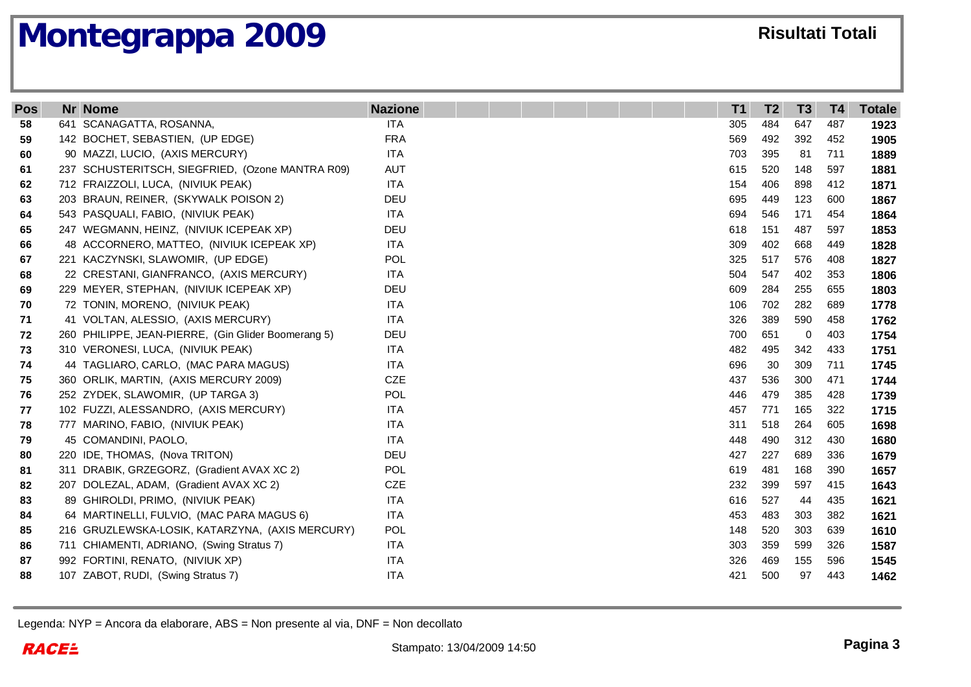| <b>Pos</b> | <b>Nr Nome</b>                                      | <b>Nazione</b> | T <sub>1</sub> | T <sub>2</sub> | T <sub>3</sub> | T <sub>4</sub> | <b>Totale</b> |
|------------|-----------------------------------------------------|----------------|----------------|----------------|----------------|----------------|---------------|
| 58         | 641 SCANAGATTA, ROSANNA,                            | <b>ITA</b>     | 305            | 484            | 647            | 487            | 1923          |
| 59         | 142 BOCHET, SEBASTIEN, (UP EDGE)                    | <b>FRA</b>     | 569            | 492            | 392            | 452            | 1905          |
| 60         | 90 MAZZI, LUCIO, (AXIS MERCURY)                     | <b>ITA</b>     | 703            | 395            | 81             | 711            | 1889          |
| 61         | 237 SCHUSTERITSCH, SIEGFRIED, (Ozone MANTRA R09)    | <b>AUT</b>     | 615            | 520            | 148            | 597            | 1881          |
| 62         | 712 FRAIZZOLI, LUCA, (NIVIUK PEAK)                  | <b>ITA</b>     | 154            | 406            | 898            | 412            | 1871          |
| 63         | 203 BRAUN, REINER, (SKYWALK POISON 2)               | DEU            | 695            | 449            | 123            | 600            | 1867          |
| 64         | 543 PASQUALI, FABIO, (NIVIUK PEAK)                  | <b>ITA</b>     | 694            | 546            | 171            | 454            | 1864          |
| 65         | 247 WEGMANN, HEINZ, (NIVIUK ICEPEAK XP)             | DEU            | 618            | 151            | 487            | 597            | 1853          |
| 66         | 48 ACCORNERO, MATTEO, (NIVIUK ICEPEAK XP)           | <b>ITA</b>     | 309            | 402            | 668            | 449            | 1828          |
| 67         | 221 KACZYNSKI, SLAWOMIR, (UP EDGE)                  | <b>POL</b>     | 325            | 517            | 576            | 408            | 1827          |
| 68         | 22 CRESTANI, GIANFRANCO, (AXIS MERCURY)             | <b>ITA</b>     | 504            | 547            | 402            | 353            | 1806          |
| 69         | 229 MEYER, STEPHAN, (NIVIUK ICEPEAK XP)             | DEU            | 609            | 284            | 255            | 655            | 1803          |
| 70         | 72 TONIN, MORENO, (NIVIUK PEAK)                     | <b>ITA</b>     | 106            | 702            | 282            | 689            | 1778          |
| 71         | 41 VOLTAN, ALESSIO, (AXIS MERCURY)                  | <b>ITA</b>     | 326            | 389            | 590            | 458            | 1762          |
| 72         | 260 PHILIPPE, JEAN-PIERRE, (Gin Glider Boomerang 5) | DEU            | 700            | 651            | 0              | 403            | 1754          |
| 73         | 310 VERONESI, LUCA, (NIVIUK PEAK)                   | <b>ITA</b>     | 482            | 495            | 342            | 433            | 1751          |
| 74         | 44 TAGLIARO, CARLO, (MAC PARA MAGUS)                | <b>ITA</b>     | 696            | 30             | 309            | 711            | 1745          |
| 75         | 360 ORLIK, MARTIN, (AXIS MERCURY 2009)              | CZE            | 437            | 536            | 300            | 471            | 1744          |
| 76         | 252 ZYDEK, SLAWOMIR, (UP TARGA 3)                   | <b>POL</b>     | 446            | 479            | 385            | 428            | 1739          |
| 77         | 102 FUZZI, ALESSANDRO, (AXIS MERCURY)               | <b>ITA</b>     | 457            | 771            | 165            | 322            | 1715          |
| 78         | 777 MARINO, FABIO, (NIVIUK PEAK)                    | <b>ITA</b>     | 311            | 518            | 264            | 605            | 1698          |
| 79         | 45 COMANDINI, PAOLO,                                | <b>ITA</b>     | 448            | 490            | 312            | 430            | 1680          |
| 80         | 220 IDE, THOMAS, (Nova TRITON)                      | DEU            | 427            | 227            | 689            | 336            | 1679          |
| 81         | 311 DRABIK, GRZEGORZ, (Gradient AVAX XC 2)          | POL            | 619            | 481            | 168            | 390            | 1657          |
| 82         | 207 DOLEZAL, ADAM, (Gradient AVAX XC 2)             | <b>CZE</b>     | 232            | 399            | 597            | 415            | 1643          |
| 83         | 89 GHIROLDI, PRIMO, (NIVIUK PEAK)                   | <b>ITA</b>     | 616            | 527            | 44             | 435            | 1621          |
| 84         | 64 MARTINELLI, FULVIO, (MAC PARA MAGUS 6)           | <b>ITA</b>     | 453            | 483            | 303            | 382            | 1621          |
| 85         | 216 GRUZLEWSKA-LOSIK, KATARZYNA, (AXIS MERCURY)     | <b>POL</b>     | 148            | 520            | 303            | 639            | 1610          |
| 86         | 711 CHIAMENTI, ADRIANO, (Swing Stratus 7)           | <b>ITA</b>     | 303            | 359            | 599            | 326            | 1587          |
| 87         | 992 FORTINI, RENATO, (NIVIUK XP)                    | <b>ITA</b>     | 326            | 469            | 155            | 596            | 1545          |
| 88         | 107 ZABOT, RUDI, (Swing Stratus 7)                  | <b>ITA</b>     | 421            | 500            | 97             | 443            | 1462          |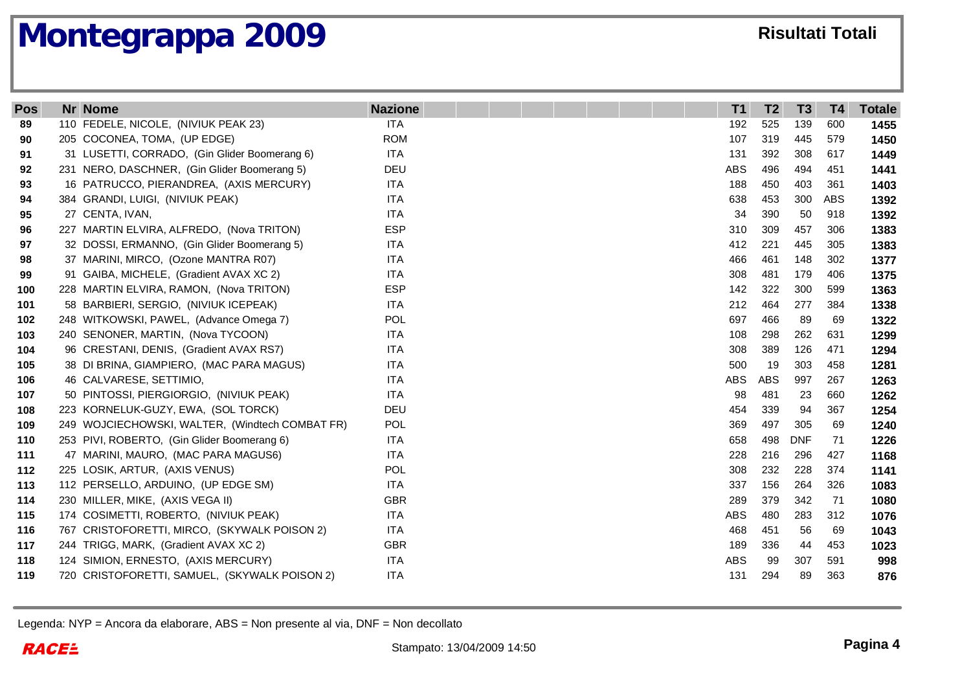| Pos | <b>Nr Nome</b>                                  | <b>Nazione</b> | T <sub>1</sub> | T <sub>2</sub> | T <sub>3</sub> | <b>T4</b> | <b>Totale</b> |
|-----|-------------------------------------------------|----------------|----------------|----------------|----------------|-----------|---------------|
| 89  | 110 FEDELE, NICOLE, (NIVIUK PEAK 23)            | <b>ITA</b>     | 192            | 525            | 139            | 600       | 1455          |
| 90  | 205 COCONEA, TOMA, (UP EDGE)                    | <b>ROM</b>     | 107            | 319            | 445            | 579       | 1450          |
| 91  | 31 LUSETTI, CORRADO, (Gin Glider Boomerang 6)   | <b>ITA</b>     | 131            | 392            | 308            | 617       | 1449          |
| 92  | 231 NERO, DASCHNER, (Gin Glider Boomerang 5)    | <b>DEU</b>     | <b>ABS</b>     | 496            | 494            | 451       | 1441          |
| 93  | 16 PATRUCCO, PIERANDREA, (AXIS MERCURY)         | <b>ITA</b>     | 188            | 450            | 403            | 361       | 1403          |
| 94  | 384 GRANDI, LUIGI, (NIVIUK PEAK)                | <b>ITA</b>     | 638            | 453            | 300            | ABS       | 1392          |
| 95  | 27 CENTA, IVAN,                                 | <b>ITA</b>     | 34             | 390            | 50             | 918       | 1392          |
| 96  | 227 MARTIN ELVIRA, ALFREDO, (Nova TRITON)       | <b>ESP</b>     | 310            | 309            | 457            | 306       | 1383          |
| 97  | 32 DOSSI, ERMANNO, (Gin Glider Boomerang 5)     | <b>ITA</b>     | 412            | 221            | 445            | 305       | 1383          |
| 98  | 37 MARINI, MIRCO, (Ozone MANTRA R07)            | <b>ITA</b>     | 466            | 461            | 148            | 302       | 1377          |
| 99  | 91 GAIBA, MICHELE, (Gradient AVAX XC 2)         | <b>ITA</b>     | 308            | 481            | 179            | 406       | 1375          |
| 100 | 228 MARTIN ELVIRA, RAMON, (Nova TRITON)         | <b>ESP</b>     | 142            | 322            | 300            | 599       | 1363          |
| 101 | 58 BARBIERI, SERGIO, (NIVIUK ICEPEAK)           | <b>ITA</b>     | 212            | 464            | 277            | 384       | 1338          |
| 102 | 248 WITKOWSKI, PAWEL, (Advance Omega 7)         | POL            | 697            | 466            | 89             | 69        | 1322          |
| 103 | 240 SENONER, MARTIN, (Nova TYCOON)              | <b>ITA</b>     | 108            | 298            | 262            | 631       | 1299          |
| 104 | 96 CRESTANI, DENIS, (Gradient AVAX RS7)         | <b>ITA</b>     | 308            | 389            | 126            | 471       | 1294          |
| 105 | 38 DI BRINA, GIAMPIERO, (MAC PARA MAGUS)        | ITA            | 500            | 19             | 303            | 458       | 1281          |
| 106 | 46 CALVARESE, SETTIMIO,                         | <b>ITA</b>     | ABS            | <b>ABS</b>     | 997            | 267       | 1263          |
| 107 | 50 PINTOSSI, PIERGIORGIO, (NIVIUK PEAK)         | <b>ITA</b>     | 98             | 481            | -23            | 660       | 1262          |
| 108 | 223 KORNELUK-GUZY, EWA, (SOL TORCK)             | <b>DEU</b>     | 454            | 339            | 94             | 367       | 1254          |
| 109 | 249 WOJCIECHOWSKI, WALTER, (Windtech COMBAT FR) | <b>POL</b>     | 369            | 497            | 305            | 69        | 1240          |
| 110 | 253 PIVI, ROBERTO, (Gin Glider Boomerang 6)     | <b>ITA</b>     | 658            | 498            | <b>DNF</b>     | 71        | 1226          |
| 111 | 47 MARINI, MAURO, (MAC PARA MAGUS6)             | <b>ITA</b>     | 228            | 216            | 296            | 427       | 1168          |
| 112 | 225 LOSIK, ARTUR, (AXIS VENUS)                  | POL            | 308            | 232            | 228            | 374       | 1141          |
| 113 | 112 PERSELLO, ARDUINO, (UP EDGE SM)             | <b>ITA</b>     | 337            | 156            | 264            | 326       | 1083          |
| 114 | 230 MILLER, MIKE, (AXIS VEGA II)                | <b>GBR</b>     | 289            | 379            | 342            | 71        | 1080          |
| 115 | 174 COSIMETTI, ROBERTO, (NIVIUK PEAK)           | <b>ITA</b>     | <b>ABS</b>     | 480            | 283            | 312       | 1076          |
| 116 | 767 CRISTOFORETTI, MIRCO, (SKYWALK POISON 2)    | <b>ITA</b>     | 468            | 451            | 56             | 69        | 1043          |
| 117 | 244 TRIGG, MARK, (Gradient AVAX XC 2)           | <b>GBR</b>     | 189            | 336            | 44             | 453       | 1023          |
| 118 | 124 SIMION, ERNESTO, (AXIS MERCURY)             | <b>ITA</b>     | <b>ABS</b>     | 99             | 307            | 591       | 998           |
| 119 | 720 CRISTOFORETTI, SAMUEL, (SKYWALK POISON 2)   | <b>ITA</b>     | 131            | 294            | 89             | 363       | 876           |